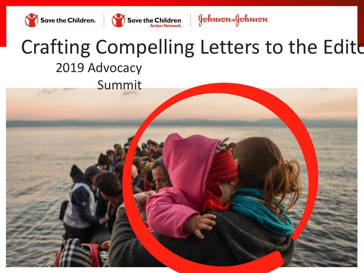



Johnson&Johnson

# Crafting Compelling Letters to the Edite 2019 Advocacy Summit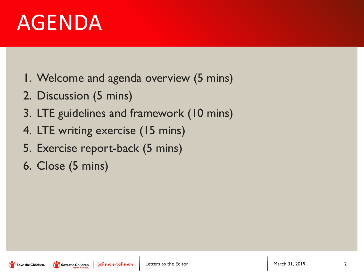# AGENDA

- 1. Welcome and agenda overview (5 mins)
- 2. Discussion (5 mins)
- 3. LTE guidelines and framework (10 mins)
- 4. LTE writing exercise (15 mins)
- 5. Exercise report-back (5 mins)
- 6. Close (5 mins)

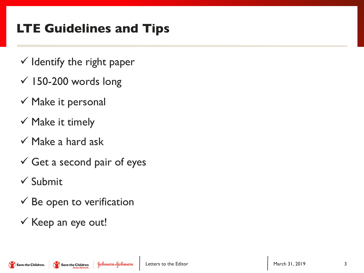## **LTE Guidelines and Tips**

- $\checkmark$  Identify the right paper
- $\times$  150-200 words long
- $\checkmark$  Make it personal
- $\checkmark$  Make it timely
- $\checkmark$  Make a hard ask
- $\checkmark$  Get a second pair of eyes
- $\checkmark$  Submit
- $\checkmark$  Be open to verification
- $\checkmark$  Keep an eye out!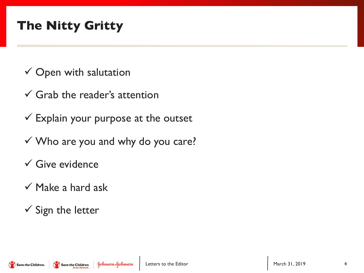### **The Nitty Gritty**

- $\checkmark$  Open with salutation
- $\checkmark$  Grab the reader's attention
- $\checkmark$  Explain your purpose at the outset
- $\checkmark$  Who are you and why do you care?
- $\checkmark$  Give evidence
- $\checkmark$  Make a hard ask
- $\checkmark$  Sign the letter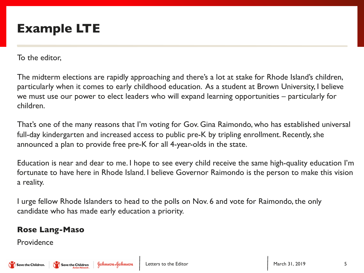To the editor,

The midterm elections are rapidly approaching and there's a lot at stake for Rhode Island's children, particularly when it comes to early childhood education. As a student at Brown University, I believe we must use our power to elect leaders who will expand learning opportunities – particularly for children.

That's one of the many reasons that I'm voting for Gov. Gina Raimondo, who has established universal full-day kindergarten and increased access to public pre-K by tripling enrollment. Recently, she announced a plan to provide free pre-K for all 4-year-olds in the state.

Education is near and dear to me. I hope to see every child receive the same high-quality education I'm fortunate to have here in Rhode Island. I believe Governor Raimondo is the person to make this vision a reality.

I urge fellow Rhode Islanders to head to the polls on Nov. 6 and vote for Raimondo, the only candidate who has made early education a priority.

#### **Rose Lang-Maso**

Providence

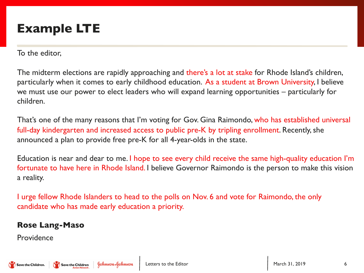To the editor,

The midterm elections are rapidly approaching and there's a lot at stake for Rhode Island's children, particularly when it comes to early childhood education. As a student at Brown University, I believe we must use our power to elect leaders who will expand learning opportunities – particularly for children.

That's one of the many reasons that I'm voting for Gov. Gina Raimondo, who has established universal full-day kindergarten and increased access to public pre-K by tripling enrollment. Recently, she announced a plan to provide free pre-K for all 4-year-olds in the state.

Education is near and dear to me. I hope to see every child receive the same high-quality education I'm fortunate to have here in Rhode Island. I believe Governor Raimondo is the person to make this vision a reality.

I urge fellow Rhode Islanders to head to the polls on Nov. 6 and vote for Raimondo, the only candidate who has made early education a priority.

#### **Rose Lang-Maso**

Providence

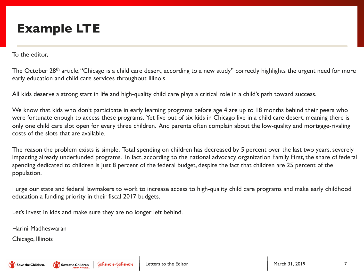To the editor,

The October 28<sup>th</sup> article, "Chicago is a child care desert, according to a new study" correctly highlights the urgent need for more early education and child care services throughout Illinois.

All kids deserve a strong start in life and high-quality child care plays a critical role in a child's path toward success.

We know that kids who don't participate in early learning programs before age 4 are up to 18 months behind their peers who were fortunate enough to access these programs. Yet five out of six kids in Chicago live in a child care desert, meaning there is only one child care slot open for every three children. And parents often complain about the low-quality and mortgage-rivaling costs of the slots that are available.

The reason the problem exists is simple. Total spending on children has decreased by 5 percent over the last two years, severely impacting already underfunded programs. In fact, according to the national advocacy organization Family First, the share of federal spending dedicated to children is just 8 percent of the federal budget, despite the fact that children are 25 percent of the population.

I urge our state and federal lawmakers to work to increase access to high-quality child care programs and make early childhood education a funding priority in their fiscal 2017 budgets.

Let's invest in kids and make sure they are no longer left behind.

Harini Madheswaran

Chicago, Illinois

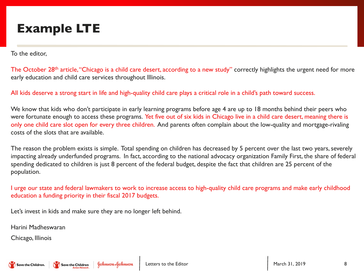To the editor,

The October 28<sup>th</sup> article, "Chicago is a child care desert, according to a new study" correctly highlights the urgent need for more early education and child care services throughout Illinois.

All kids deserve a strong start in life and high-quality child care plays a critical role in a child's path toward success.

We know that kids who don't participate in early learning programs before age 4 are up to 18 months behind their peers who were fortunate enough to access these programs. Yet five out of six kids in Chicago live in a child care desert, meaning there is only one child care slot open for every three children. And parents often complain about the low-quality and mortgage-rivaling costs of the slots that are available.

The reason the problem exists is simple. Total spending on children has decreased by 5 percent over the last two years, severely impacting already underfunded programs. In fact, according to the national advocacy organization Family First, the share of federal spending dedicated to children is just 8 percent of the federal budget, despite the fact that children are 25 percent of the population.

I urge our state and federal lawmakers to work to increase access to high-quality child care programs and make early childhood education a funding priority in their fiscal 2017 budgets.

Let's invest in kids and make sure they are no longer left behind.

Harini Madheswaran

Chicago, Illinois

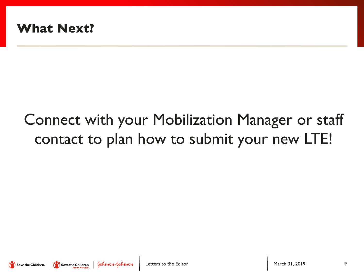

## Connect with your Mobilization Manager or staff contact to plan how to submit your new LTE!